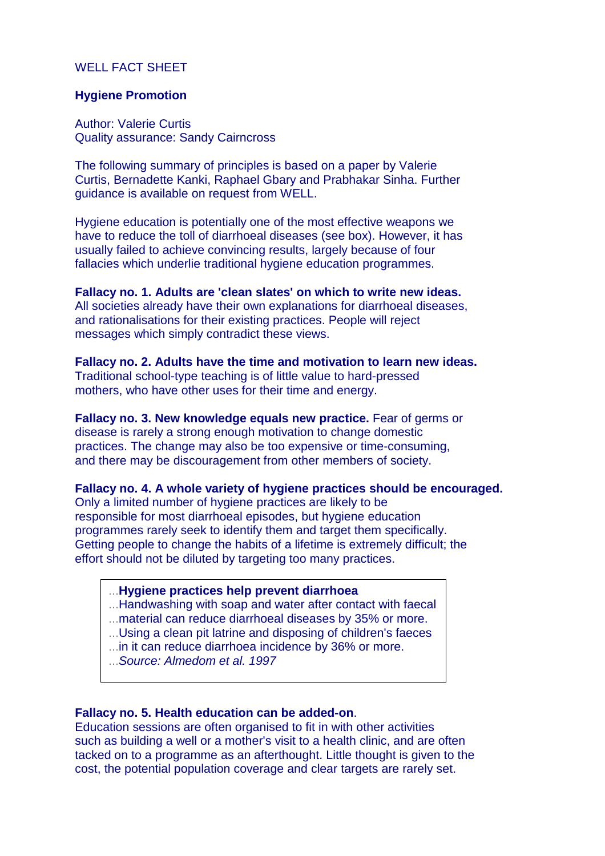# WELL FACT SHEET

## **Hygiene Promotion**

Author: Valerie Curtis Quality assurance: Sandy Cairncross

The following summary of principles is based on a paper by Valerie Curtis, Bernadette Kanki, Raphael Gbary and Prabhakar Sinha. Further guidance is available on request from WELL.

Hygiene education is potentially one of the most effective weapons we have to reduce the toll of diarrhoeal diseases (see box). However, it has usually failed to achieve convincing results, largely because of four fallacies which underlie traditional hygiene education programmes.

## **Fallacy no. 1. Adults are 'clean slates' on which to write new ideas.**

All societies already have their own explanations for diarrhoeal diseases, and rationalisations for their existing practices. People will reject messages which simply contradict these views.

## **Fallacy no. 2. Adults have the time and motivation to learn new ideas.**

Traditional school-type teaching is of little value to hard-pressed mothers, who have other uses for their time and energy.

**Fallacy no. 3. New knowledge equals new practice.** Fear of germs or disease is rarely a strong enough motivation to change domestic practices. The change may also be too expensive or time-consuming, and there may be discouragement from other members of society.

## **Fallacy no. 4. A whole variety of hygiene practices should be encouraged.**

Only a limited number of hygiene practices are likely to be responsible for most diarrhoeal episodes, but hygiene education programmes rarely seek to identify them and target them specifically. Getting people to change the habits of a lifetime is extremely difficult; the effort should not be diluted by targeting too many practices.

### ...**Hygiene practices help prevent diarrhoea**

- ...Handwashing with soap and water after contact with faecal
- ...material can reduce diarrhoeal diseases by 35% or more.
- ...Using a clean pit latrine and disposing of children's faeces
- ...in it can reduce diarrhoea incidence by 36% or more.
- ...*Source: Almedom et al. 1997*

#### **Fallacy no. 5. Health education can be added-on**.

Education sessions are often organised to fit in with other activities such as building a well or a mother's visit to a health clinic, and are often tacked on to a programme as an afterthought. Little thought is given to the cost, the potential population coverage and clear targets are rarely set.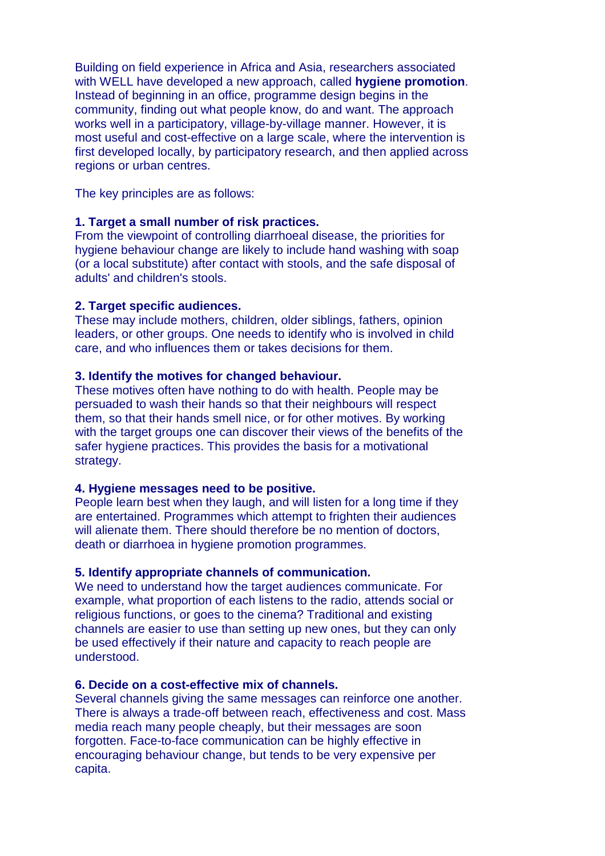Building on field experience in Africa and Asia, researchers associated with WELL have developed a new approach, called **hygiene promotion**. Instead of beginning in an office, programme design begins in the community, finding out what people know, do and want. The approach works well in a participatory, village-by-village manner. However, it is most useful and cost-effective on a large scale, where the intervention is first developed locally, by participatory research, and then applied across regions or urban centres.

The key principles are as follows:

# **1. Target a small number of risk practices.**

From the viewpoint of controlling diarrhoeal disease, the priorities for hygiene behaviour change are likely to include hand washing with soap (or a local substitute) after contact with stools, and the safe disposal of adults' and children's stools.

## **2. Target specific audiences.**

These may include mothers, children, older siblings, fathers, opinion leaders, or other groups. One needs to identify who is involved in child care, and who influences them or takes decisions for them.

## **3. Identify the motives for changed behaviour.**

These motives often have nothing to do with health. People may be persuaded to wash their hands so that their neighbours will respect them, so that their hands smell nice, or for other motives. By working with the target groups one can discover their views of the benefits of the safer hygiene practices. This provides the basis for a motivational strategy.

# **4. Hygiene messages need to be positive.**

People learn best when they laugh, and will listen for a long time if they are entertained. Programmes which attempt to frighten their audiences will alienate them. There should therefore be no mention of doctors, death or diarrhoea in hygiene promotion programmes.

# **5. Identify appropriate channels of communication.**

We need to understand how the target audiences communicate. For example, what proportion of each listens to the radio, attends social or religious functions, or goes to the cinema? Traditional and existing channels are easier to use than setting up new ones, but they can only be used effectively if their nature and capacity to reach people are understood.

## **6. Decide on a cost-effective mix of channels.**

Several channels giving the same messages can reinforce one another. There is always a trade-off between reach, effectiveness and cost. Mass media reach many people cheaply, but their messages are soon forgotten. Face-to-face communication can be highly effective in encouraging behaviour change, but tends to be very expensive per capita.